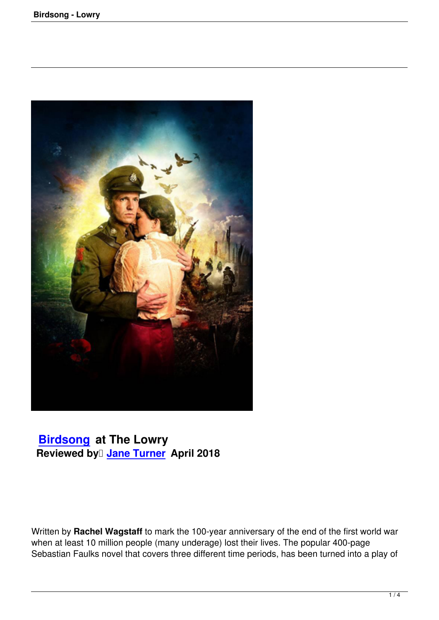

## **Birdsong at The Lowry Reviewed by Jane Turner** April 2018

Written by **Rachel Wagstaff** to mark the 100-year anniversary of the end of the first world war when at least 10 million people (many underage) lost their lives. The popular 400-page Sebastian Faulks novel that covers three different time periods, has been turned into a play of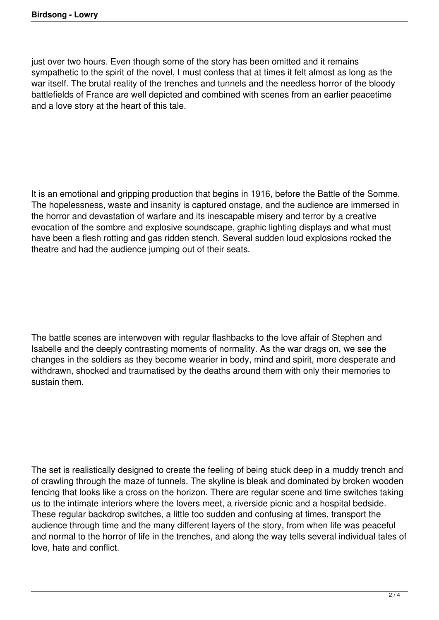just over two hours. Even though some of the story has been omitted and it remains sympathetic to the spirit of the novel, I must confess that at times it felt almost as long as the war itself. The brutal reality of the trenches and tunnels and the needless horror of the bloody battlefields of France are well depicted and combined with scenes from an earlier peacetime and a love story at the heart of this tale.

It is an emotional and gripping production that begins in 1916, before the Battle of the Somme. The hopelessness, waste and insanity is captured onstage, and the audience are immersed in the horror and devastation of warfare and its inescapable misery and terror by a creative evocation of the sombre and explosive soundscape, graphic lighting displays and what must have been a flesh rotting and gas ridden stench. Several sudden loud explosions rocked the theatre and had the audience jumping out of their seats.

The battle scenes are interwoven with regular flashbacks to the love affair of Stephen and Isabelle and the deeply contrasting moments of normality. As the war drags on, we see the changes in the soldiers as they become wearier in body, mind and spirit, more desperate and withdrawn, shocked and traumatised by the deaths around them with only their memories to sustain them.

The set is realistically designed to create the feeling of being stuck deep in a muddy trench and of crawling through the maze of tunnels. The skyline is bleak and dominated by broken wooden fencing that looks like a cross on the horizon. There are regular scene and time switches taking us to the intimate interiors where the lovers meet, a riverside picnic and a hospital bedside. These regular backdrop switches, a little too sudden and confusing at times, transport the audience through time and the many different layers of the story, from when life was peaceful and normal to the horror of life in the trenches, and along the way tells several individual tales of love, hate and conflict.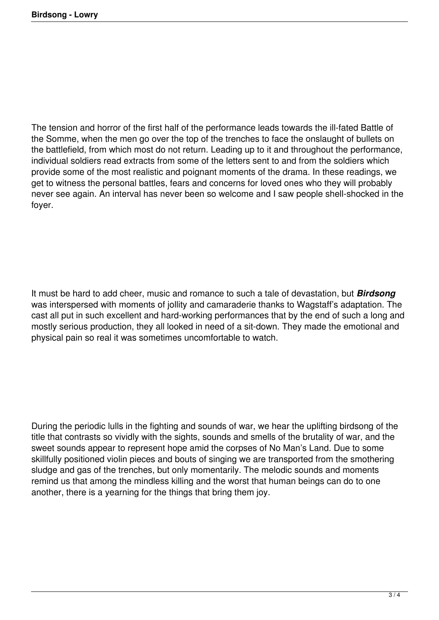The tension and horror of the first half of the performance leads towards the ill-fated Battle of the Somme, when the men go over the top of the trenches to face the onslaught of bullets on the battlefield, from which most do not return. Leading up to it and throughout the performance, individual soldiers read extracts from some of the letters sent to and from the soldiers which provide some of the most realistic and poignant moments of the drama. In these readings, we get to witness the personal battles, fears and concerns for loved ones who they will probably never see again. An interval has never been so welcome and I saw people shell-shocked in the foyer.

It must be hard to add cheer, music and romance to such a tale of devastation, but *Birdsong* was interspersed with moments of jollity and camaraderie thanks to Wagstaff's adaptation. The cast all put in such excellent and hard-working performances that by the end of such a long and mostly serious production, they all looked in need of a sit-down. They made the emotional and physical pain so real it was sometimes uncomfortable to watch.

During the periodic lulls in the fighting and sounds of war, we hear the uplifting birdsong of the title that contrasts so vividly with the sights, sounds and smells of the brutality of war, and the sweet sounds appear to represent hope amid the corpses of No Man's Land. Due to some skillfully positioned violin pieces and bouts of singing we are transported from the smothering sludge and gas of the trenches, but only momentarily. The melodic sounds and moments remind us that among the mindless killing and the worst that human beings can do to one another, there is a yearning for the things that bring them joy.